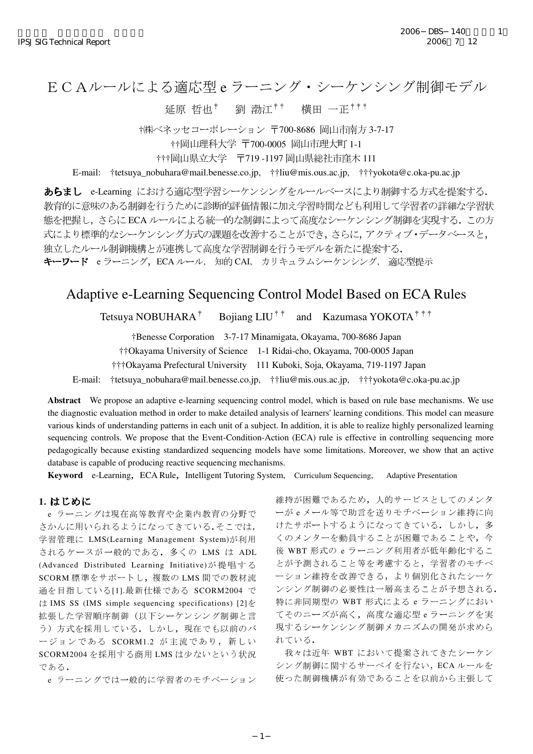# recnica kepot<br>ECAルールによる適応型 e ラーニング・シーケンシング制御モデル る適応型 e ラーニング・シー<sub>?</sub><br>延原 哲也† - 劉 渤江†† - 横田 一正

†(株)ベネッセコーポレーション 〒700-8686 岡山市南方 3-7-17

†††岡山県立大学 〒719-1197 岡山県総社市窪木 111

E-mail: †tetsuya\_nobuhara@mail.benesse.co.jp, ††liu@mis.ous.ac.jp, †††yokota@c.oka-pu.ac.jp

あらまし e-Learning における適応型学習シーケンシングをルールベースにより制御する方式を提案する. 教育的に意味のある制御を行うために診断的評価情報に加え学習時間なども利用して学習者の詳細な学習状 態を把握し、さらに ECA ルールによる統一的な制御によって高度なシーケンシング制御を実現する。この方 式により標準的なシーケンシング方式の課題を改善することができ、さらに、アクティブ·データベースと、 独立したルール制御機構とが連携して高度な学習制御を行うモデルを新たに提案する。 キーワード e ラーニング, ECA ルール, 知的 CAI, カリキュラムシーケンシング, 適応型提示

## Adaptive e-Learning Sequencing Control Model Based on ECA Rules

Tetsuya NOBUHARA<sup>†</sup> Bojiang LIU<sup>††</sup> and Kazumasa YOKOTA<sup>†††</sup>

†Benesse Corporation 3-7-17 Minamigata, Okayama, 700-8686 Japan

††Okayama University of Science 1-1 Ridai-cho, Okayama, 700-0005 Japan

†††Okayama Prefectural University 111 Kuboki, Soja, Okayama, 719-1197 Japan

E-mail: †tetsuya\_nobuhara@mail.benesse.co.jp, ††liu@mis.ous.ac.jp, †††yokota@c.oka-pu.ac.jp

**Abstract** We propose an adaptive e-learning sequencing control model, which is based on rule base mechanisms. We use the diagnostic evaluation method in order to make detailed analysis of learners' learning conditions. This model can measure various kinds of understanding patterns in each unit of a subject. In addition, it is able to realize highly personalized learning sequencing controls. We propose that the Event-Condition-Action (ECA) rule is effective in controlling sequencing more pedagogically because existing standardized sequencing models have some limitations. Moreover, we show that an active database is capable of producing reactive sequencing mechanisms.

**Keyword** e-Learning, ECA Rule, Intelligent Tutoring System, Curriculum Sequencing, Adaptive Presentation

#### **1.**

e ラーニングは現在高等教育や企業内教育の分野で さかんに用いられるようになってきている.そこでは, 学習管理に LMS(Learning Management System)が利用 されるケースが一般的である. 多くの LMS は ADL (Advanced Distributed Learning Initiative)が提唱する SCORM 標準をサポートし、複数の LMS 間での教材流 通を目指している[1].最新仕様である SCORM2004 で  $\forall$  IMS SS (IMS simple sequencing specifications) [2]  $\&$ 拡張した学習順序制御(以下シーケンシング制御と言 う)方式を採用している。しかし、現在でも以前のバ ージョンである SCORM1.2 が主流であり、新しい SCORM2004 を採用する商用 LMS は少ないという状況 である.

e ラーニングでは一般的に学習者のモチベーション

維持が困難であるため、人的サービスとしてのメンタ ーがeメール等で助言を送りモチベーション維持に向 けたサポートするようになってきている。しかし、多 くのメンターを動員することが困難であることや、今 後 WBT 形式の e ラーニング利用者が低年齢化するこ とが予測されること等を考慮すると、学習者のモチベ ーション維持を改善できる、より個別化されたシーケ ンシング制御の必要性は一層高まることが予想される. 特に非同期型の WBT 形式による e ラーニングにおい てそのニーズが高く、高度な適応型eラーニングを実 現するシーケンシング制御メカニズムの開発が求めら れている.

我々は近年 WBT において提案されてきたシーケン シング制御に関するサーベイを行ない, ECAルールを 使った制御機構が有効であることを以前から主張して

<sup>††</sup>岡山理科大学 〒700-0005 岡山市理大町 1-1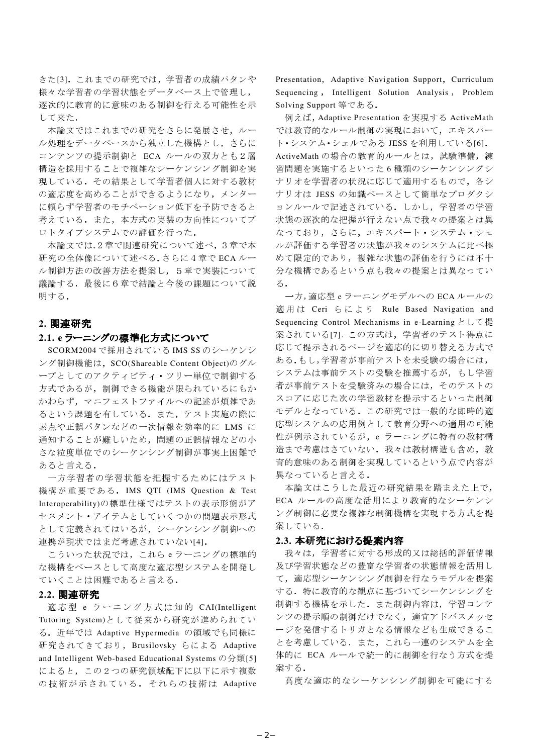きた[3]. これまでの研究では、学習者の成績パタンや 様々な学習者の学習状態をデータベース上で管理し、 逐次的に教育的に意味のある制御を行える可能性を示 して来た.

本論文ではこれまでの研究をさらに発展させ、ルー ル処理をデータベースから独立した機構とし、さらに コンテンツの提示制御と ECA ルールの双方とも2層 構造を採用することで複雑なシーケンシング制御を実 現している。その結果として学習者個人に対する教材 の適応度を高めることができるようになり、メンター に頼らず学習者のモチベーション低下を予防できると 考えている。また、本方式の実装の方向性についてプ ロトタイプシステムでの評価を行った.

本論文では,2章で関連研究について述べ、3章で本 研究の全体像について述べる. さらに4章で ECA ルー ル制御方法の改善方法を提案し、5章で実装について 議論する. 最後に6章で結論と今後の課題について説 明する.

#### **2.**

### 2.1. e ラーニングの標準化方式について

SCORM2004 で採用されている IMS SSのシーケンシ ング制御機能は、SCO(Shareable Content Object)のグル ープとしてのアクティビティ・ツリー単位で制御する 方式であるが、制御できる機能が限られているにもか かわらず、マニフェストファイルへの記述が煩雑であ るという課題を有している. また、テスト実施の際に 素点や正誤パタンなどの一次情報を効率的に LMS に 通知することが難しいため、問題の正誤情報などの小 さな粒度単位でのシーケンシング制御が事実上困難で あると言える.

一方学習者の学習状態を把握するためにはテスト 機構が重要である. IMS QTI (IMS Question & Test Interoperability)の標準仕様ではテストの表示形態がア セスメント·アイテムとしていくつかの問題表示形式 として定義されてはいるが、シーケンシング制御への 連携が現状ではまだ考慮されていない[4].

こういった状況では、これらeラーニングの標準的 な機構をベースとして高度な適応型システムを開発し ていくことは困難であると言える.

#### **2.2.**

適応型 e ラーニング方式は知的 CAI(Intelligent Tutoring System)として従来から研究が進められてい る. 近年では Adaptive Hypermedia の領域でも同様に 研究されてきており, Brusilovsky らによる Adaptive and Intelligent Web-based Educational Systems  $\mathcal{O}\mathcal{H}$  15] によると、この2つの研究領域配下に以下に示す複数 の技術が示されている. それらの技術は Adaptive Presentation, Adaptive Navigation Support, Curriculum Sequencing, Intelligent Solution Analysis, Problem Solving Support 等である.

例えば, Adaptive Presentation を実現する ActiveMath では教育的なルール制御の実現において、エキスパー ト・システム·シェルである JESS を利用している[6]. ActiveMath の場合の教育的ルールとは、試験準備、練 習問題を実施するといった6種類のシーケンシングシ ナリオを学習者の状況に応じて適用するもので、各シ ナリオは JESS の知識ベースとして簡単なプロダクシ ョンルールで記述されている。しかし、学習者の学習 状態の逐次的な把握が行えない点で我々の提案とは異 なっており、さらに、エキスパート・システム・シェ ルが評価する学習者の状態が我々のシステムに比べ極 めて限定的であり、複雑な状態の評価を行うには不十 分な機構であるという点も我々の提案とは異なってい る.

一方,適応型 e ラーニングモデルへの ECA ルールの 適用は Ceri らにより Rule Based Navigation and Sequencing Control Mechanisms in e-Learning  $\&\cup\subset\ddot{\mathcal{H}}$ 案されている[7]. この方式は、学習者のテスト得点に 応じて提示されるページを適応的に切り替える方式で ある.もし,学習者が事前テストを未受験の場合には, システムは事前テストの受験を推薦するが、もし学習 者が事前テストを受験済みの場合には、そのテストの スコアに応じた次の学習教材を提示するといった制御 モデルとなっている. この研究では一般的な即時的適 応型システムの応用例として教育分野への適用の可能 性が例示されているが, e ラーニングに特有の教材構 造まで考慮はさていない。我々は教材構造も含め、教 育的意味のある制御を実現しているという点で内容が 異なっていると言える.

本論文はこうした最近の研究結果を踏まえた上で, ECA ルールの高度な活用により教育的なシーケンシ ング制御に必要な複雑な制御機構を実現する方式を提 案している.

#### **2.3.**

我々は、学習者に対する形成的又は総括的評価情報 及び学習状態などの豊富な学習者の状態情報を活用し て、適応型シーケンシング制御を行なうモデルを提案 する. 特に教育的な観点に基づいてシーケンシングを 制御する機構を示した。また制御内容は、学習コンテ ンツの提示順の制御だけでなく、適宜アドバスメッセ ージを発信するトリガとなる情報なども生成できるこ とを考慮している。また、これら一連のシステムを全 体的に ECA ルールで統一的に制御を行なう方式を提 案する.

高度な適応的なシーケンシング制御を可能にする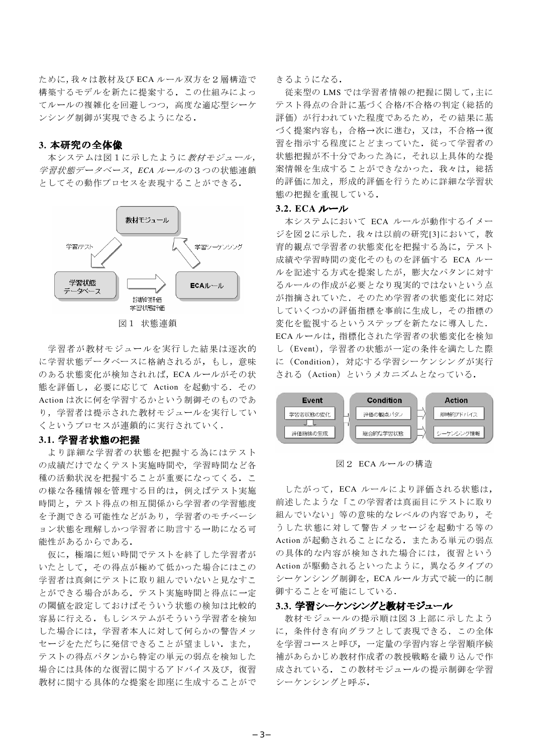ために、我々は教材及び ECA ルール双方を2層構造で 構築するモデルを新たに提案する。この仕組みによっ てルールの複雑化を回避しつつ、高度な適応型シーケ ンシング制御が実現できるようになる.

#### **3.**

本システムは図1に示したように教材モジュール, 学習状態データベース, ECA ルールの3つの状態連鎖 としてその動作プロセスを表現することができる.



図 1 状態連鎖

学習者が教材モジュールを実行した結果は逐次的 に学習状態データベースに格納されるが、もし、意味 のある状態変化が検知されれば、ECA ルールがその状 態を評価し、必要に応じて Action を起動する. その Action は次に何を学習するかという制御そのものであ り、学習者は提示された教材モジュールを実行してい くというプロセスが連鎖的に実行されていく.

### **3.1.**

より詳細な学習者の状態を把握する為にはテスト の成績だけでなくテスト実施時間や、学習時間など各 種の活動状況を把握することが重要になってくる. こ の様な各種情報を管理する目的は、例えばテスト実施 時間と、テスト得点の相互関係から学習者の学習態度 を予測できる可能性などがあり、学習者のモチベーシ ョン状態を理解しかつ学習者に助言する一助になる可 能性があるからである.

仮に、極端に短い時間でテストを終了した学習者が いたとして、その得点が極めて低かった場合にはこの 学習者は真剣にテストに取り組んでいないと見なすこ とができる場合がある。テスト実施時間と得点に一定 の閾値を設定しておけばそういう状態の検知は比較的 容易に行える。もしシステムがそういう学習者を検知 した場合には、学習者本人に対して何らかの警告メッ セージをただちに発信できることが望ましい.また, テストの得点パタンから特定の単元の弱点を検知した 場合には具体的な復習に関するアドバイス及び、復習 教材に関する具体的な提案を即座に生成することがで きるようになる.

従来型の LMS では学習者情報の把握に関して,主に テスト得点の合計に基づく合格/不合格の判定 (総括的 評価)が行われていた程度であるため、その結果に基 づく提案内容も、合格→次に進む、又は、不合格→復 習を指示する程度にとどまっていた。従って学習者の 状態把握が不十分であった為に、それ以上具体的な提 案情報を生成することができなかった。我々は、総括 的評価に加え、形成的評価を行うために詳細な学習状 熊の把握を重視している.

#### **3.2. ECA**

本システムにおいて ECA ルールが動作するイメー ジを図2に示した。我々は以前の研究[3]において、教 育的観点で学習者の状態変化を把握する為に、テスト 成績や学習時間の変化そのものを評価する ECA ルー ルを記述する方式を提案したが、膨大なパタンに対す るルールの作成が必要となり現実的ではないという点 が指摘されていた。そのため学習者の状態変化に対応 していくつかの評価指標を事前に生成し、その指標の 変化を監視するというステップを新たなに導入した. ECA ルールは、指標化された学習者の状態変化を検知 し (Event), 学習者の状態が一定の条件を満たした際 に (Condition), 対応する学習シーケンシングが実行 される (Action) というメカニズムとなっている.



図2 ECAルールの構造

したがって、ECA ルールにより評価される状態は, 前述したような「この学習者は真面目にテストに取り 組んでいない」等の意味的なレベルの内容であり、そ うした状態に対して警告メッセージを起動する等の Action が起動されることになる. またある単元の弱点 の具体的な内容が検知された場合には、復習という Action が駆動されるといったように、異なるタイプの シーケンシング制御を、ECAルール方式で統一的に制 御することを可能にしている.

#### **3.3.**

教材モジュールの提示順は図3上部に示したよう に、条件付き有向グラフとして表現できる。この全体 を学習コースと呼び、一定量の学習内容と学習順序候 補があらかじめ教材作成者の教授戦略を織り込んで作 成されている。この教材モジュールの提示制御を学習 シーケンシングト呼ぶ.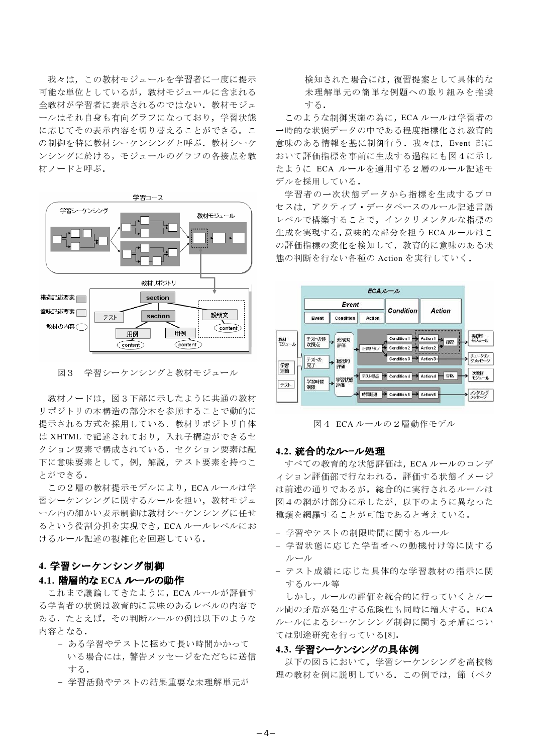我々は、この教材モジュールを学習者に一度に提示 可能な単位としているが、教材モジュールに含まれる 全教材が学習者に表示されるのではない。教材モジュ ールはそれ自身も有向グラフになっており、学習状態 に応じてその表示内容を切り替えることができる. こ の制御を特に教材シーケンシングと呼ぶ。教材シーケ ンシングに於ける、モジュールのグラフの各接点を教 材ノードと呼ぶ.



図3 学習シーケンシングと教材モジュール

教材ノードは、図3下部に示したように共通の教材 リポジトリの木構造の部分木を参照することで動的に 提示される方式を採用している。教材リポジトリ自体 は XHTML で記述されており、入れ子構造ができるセ クション要素で構成されている。セクション要素は配 下に意味要素として、例、解説、テスト要素を持つこ とができる.

この2層の教材提示モデルにより、ECAルールは学 習シーケンシングに関するルールを担い、教材モジュ ール内の細かい表示制御は教材シーケンシングに任せ るという役割分担を実現でき、ECAルールレベルにお けるルール記述の複雑化を回避している.

#### **4.**

#### **4.1. 階層的な ECA ルールの動作**

これまで議論してきたように、ECAルールが評価す る学習者の状態は教育的に意味のあるレベルの内容で ある。たとえば、その判断ルールの例は以下のような 内容となる.

- ある学習やテストに極めて長い時間かかって いる場合には、警告メッセージをただちに送信 する.
- 学習活動やテストの結果重要な未理解単元が

検知された場合には,復習提案として具体的な 未理解単元の簡単な例題への取り組みを推奨 する.

このような制御実施の為に, ECA ルールは学習者の 一時的な状態データの中である程度指標化され教育的 意味のある情報を基に制御行う. 我々は、Event 部に おいて評価指標を事前に生成する過程にも図4に示し たように ECA ルールを適用する2層のルール記述モ デルを採用している.

学習者の一次状態データから指標を生成するプロ セスは、アクティブ・データベースのルール記述言語 レベルで構築することで、インクリメンタルな指標の 生成を実現する. 意味的な部分を担う ECA ルールはこ の評価指標の変化を検知して、教育的に意味のある状 態の判断を行ない各種の Action を実行していく.



図4 ECAルールの2層動作モデル

#### **4.2.**

すべての教育的な状態評価は, ECA ルールのコンデ ィション評価部で行なわれる。評価する状態イメージ は前述の通りであるが、総合的に実行されるルールは 図4の網がけ部分に示したが、以下のように異なった 種類を網羅することが可能であると考えている.

- 学習やテストの制限時間に関するルール
- 学習状態に応じた学習者への動機付け等に関する ルール
- テスト成績に応じた具体的な学習教材の指示に関 するルール等

しかし、ルールの評価を統合的に行っていくとルー ル間の矛盾が発生する危険性も同時に増大する. ECA ルールによるシーケンシング制御に関する矛盾につい ては別途研究を行っている[8].

#### **4.3.**

以下の図5において、学習シーケンシングを高校物 理の教材を例に説明している。この例では、節(ベク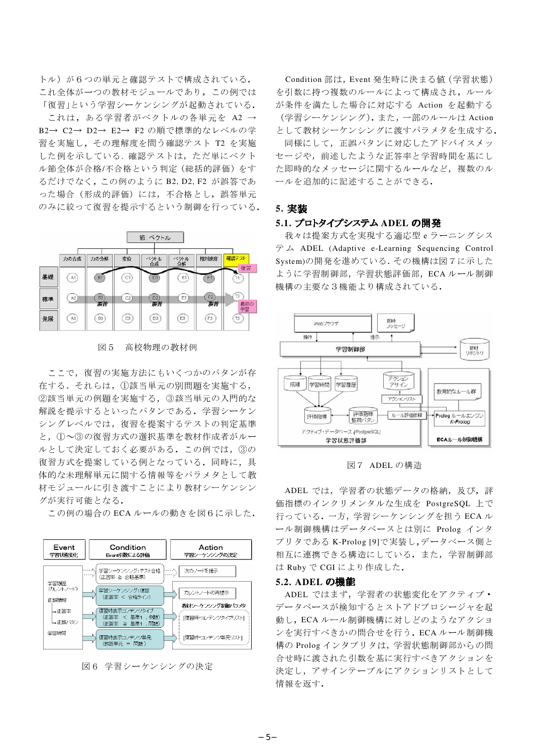トル)が6つの単元と確認テストで構成されている. これ全体が一つの教材モジュールであり、この例では 「復習」という学習シーケンシングが起動されている. これは、ある学習者がベクトルの各単元を A2 → B2→ C2→ D2→ E2→ F2 の順で標準的なレベルの学 習を実施し, その理解度を問う確認テスト T2 を実施 した例を示している. 確認テストは、ただ単にベクト ル節全体が合格/不合格という判定(総括的評価)をす るだけでなく,この例のように B2, D2, F2 が誤答であ った場合(形成的評価)には、不合格とし、誤答単元 のみに絞って復習を提示するという制御を行っている.



図 5 高校物理の教材例

ここで、復習の実施方法にもいくつかのパタンが存 在する. それらは、①該当単元の別問題を実施する, ②該当単元の例題を実施する、3該当単元の入門的な 解説を提示するといったパタンである。学習シーケン シングレベルでは、復習を提案するテストの判定基準 と、1つ3の復習方式の選択基準を教材作成者がルー ルとして決定しておく必要がある。この例では、3の 復習方式を提案している例となっている。同時に、具 体的な未理解単元に関する情報等をパラメタとして教 材モジュールに引き渡すことにより教材シーケンシン グが実行可能となる.



この例の場合の ECA ルールの動きを図6に示した.



Condition 部は, Event 発生時に決まる値 (学習状態) を引数に持つ複数のルールによって構成され、ルール が条件を満たした場合に対応する Action を起動する (学習シーケンシング).また、一部のルールは Action として教材シーケンシングに渡すパラメタを生成する. 同様にして、正誤パタンに対応したアドバイスメッ セージや、前述したような正答率と学習時間を基にし

た即時的なメッセージに関するルールなど、複数のル ールを追加的に記述することができる.

#### **5.**

#### 5.1. プロトタイプシステム ADEL の開発

我々は提案方式を実現する適応型eラーニングシス ADEL (Adaptive e-Learning Sequencing Control System)の開発を進めている。その機構は図7に示した ように学習制御部, 学習状態評価部, ECA ルール制御 機構の主要な3機能より構成されている.



図 7 ADEL の構造

ADEL では、学習者の状態データの格納、及び、評 価指標のインクリメンタルな生成を PostgreSQL 上で 行っている. 一方、学習シーケンシングを担うECAル ール制御機構はデータベースとは別に Prolog インタ プリタである K-Prolog [9]で実装し,データベース側と 相互に連携できる構造にしている。また、学習制御部 は Ruby で CGI により作成した.

#### **5.2. ADEL**

ADEL ではまず、学習者の状態変化をアクティブ· データベースが検知するとストアドプロシージャを起 動し, ECA ルール制御機構に対しどのようなアクショ ンを実行すべきかの問合せを行う. ECA ルール制御機 構の Prolog インタプリタは、学習状態制御部からの問 合せ時に渡された引数を基に実行すべきアクションを 決定し、アサインテーブルにアクションリストとして 情報を返す.